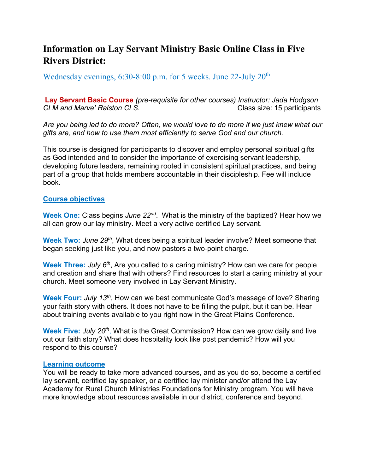# **Information on Lay Servant Ministry Basic Online Class in Five Rivers District:**

Wednesday evenings,  $6:30-8:00$  p.m. for 5 weeks. June 22-July  $20<sup>th</sup>$ .

**Lay Servant Basic Course** *(pre-requisite for other courses) Instructor: Jada Hodgson CLM and Marve' Ralston CLS.* Class size: 15 participants

*Are you being led to do more? Often, we would love to do more if we just knew what our gifts are, and how to use them most efficiently to serve God and our church.* 

This course is designed for participants to discover and employ personal spiritual gifts as God intended and to consider the importance of exercising servant leadership, developing future leaders, remaining rooted in consistent spiritual practices, and being part of a group that holds members accountable in their discipleship. Fee will include book.

## **Course objectives**

**Week One:** Class begins *June 22nd*. What is the ministry of the baptized? Hear how we all can grow our lay ministry. Meet a very active certified Lay servant.

**Week Two:** *June 29th*, What does being a spiritual leader involve? Meet someone that began seeking just like you, and now pastors a two-point charge.

**Week Three:** *July 6th*, Are you called to a caring ministry? How can we care for people and creation and share that with others? Find resources to start a caring ministry at your church. Meet someone very involved in Lay Servant Ministry.

**Week Four:** *July 13th*, How can we best communicate God's message of love? Sharing your faith story with others. It does not have to be filling the pulpit, but it can be. Hear about training events available to you right now in the Great Plains Conference.

**Week Five:** *July 20th*, What is the Great Commission? How can we grow daily and live out our faith story? What does hospitality look like post pandemic? How will you respond to this course?

#### **Learning outcome**

You will be ready to take more advanced courses, and as you do so, become a certified lay servant, certified lay speaker, or a certified lay minister and/or attend the Lay Academy for Rural Church Ministries Foundations for Ministry program. You will have more knowledge about resources available in our district, conference and beyond.